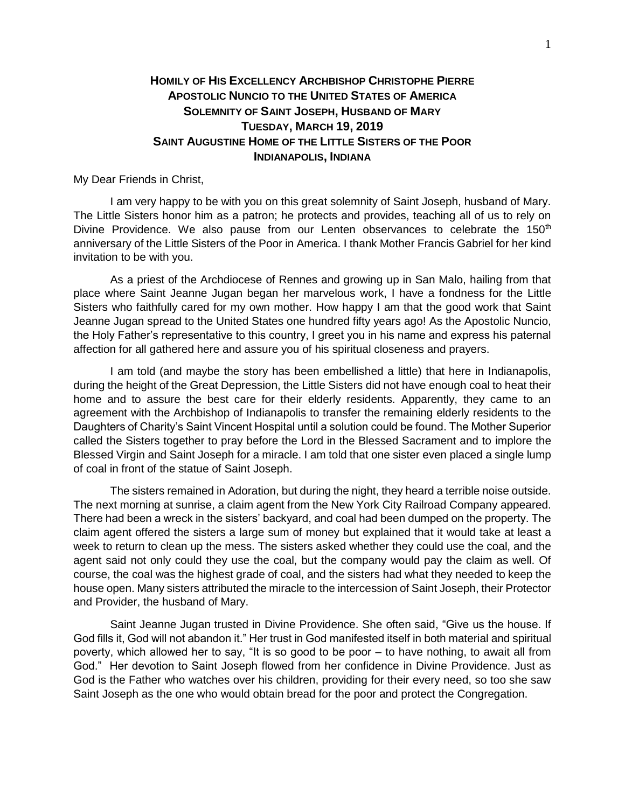## **HOMILY OF HIS EXCELLENCY ARCHBISHOP CHRISTOPHE PIERRE APOSTOLIC NUNCIO TO THE UNITED STATES OF AMERICA SOLEMNITY OF SAINT JOSEPH, HUSBAND OF MARY TUESDAY, MARCH 19, 2019 SAINT AUGUSTINE HOME OF THE LITTLE SISTERS OF THE POOR INDIANAPOLIS, INDIANA**

My Dear Friends in Christ,

I am very happy to be with you on this great solemnity of Saint Joseph, husband of Mary. The Little Sisters honor him as a patron; he protects and provides, teaching all of us to rely on Divine Providence. We also pause from our Lenten observances to celebrate the 150<sup>th</sup> anniversary of the Little Sisters of the Poor in America. I thank Mother Francis Gabriel for her kind invitation to be with you.

As a priest of the Archdiocese of Rennes and growing up in San Malo, hailing from that place where Saint Jeanne Jugan began her marvelous work, I have a fondness for the Little Sisters who faithfully cared for my own mother. How happy I am that the good work that Saint Jeanne Jugan spread to the United States one hundred fifty years ago! As the Apostolic Nuncio, the Holy Father's representative to this country, I greet you in his name and express his paternal affection for all gathered here and assure you of his spiritual closeness and prayers.

I am told (and maybe the story has been embellished a little) that here in Indianapolis, during the height of the Great Depression, the Little Sisters did not have enough coal to heat their home and to assure the best care for their elderly residents. Apparently, they came to an agreement with the Archbishop of Indianapolis to transfer the remaining elderly residents to the Daughters of Charity's Saint Vincent Hospital until a solution could be found. The Mother Superior called the Sisters together to pray before the Lord in the Blessed Sacrament and to implore the Blessed Virgin and Saint Joseph for a miracle. I am told that one sister even placed a single lump of coal in front of the statue of Saint Joseph.

The sisters remained in Adoration, but during the night, they heard a terrible noise outside. The next morning at sunrise, a claim agent from the New York City Railroad Company appeared. There had been a wreck in the sisters' backyard, and coal had been dumped on the property. The claim agent offered the sisters a large sum of money but explained that it would take at least a week to return to clean up the mess. The sisters asked whether they could use the coal, and the agent said not only could they use the coal, but the company would pay the claim as well. Of course, the coal was the highest grade of coal, and the sisters had what they needed to keep the house open. Many sisters attributed the miracle to the intercession of Saint Joseph, their Protector and Provider, the husband of Mary.

Saint Jeanne Jugan trusted in Divine Providence. She often said, "Give us the house. If God fills it, God will not abandon it." Her trust in God manifested itself in both material and spiritual poverty, which allowed her to say, "It is so good to be poor – to have nothing, to await all from God." Her devotion to Saint Joseph flowed from her confidence in Divine Providence. Just as God is the Father who watches over his children, providing for their every need, so too she saw Saint Joseph as the one who would obtain bread for the poor and protect the Congregation.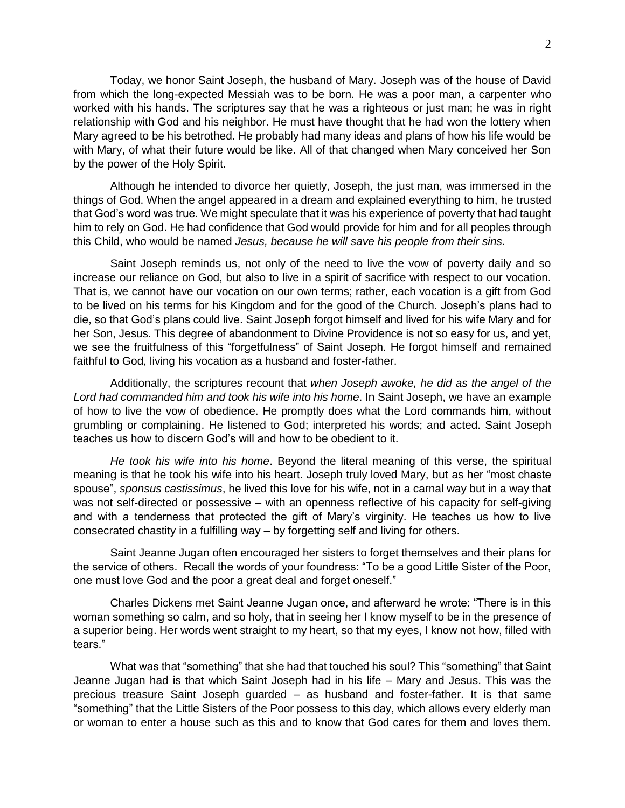Today, we honor Saint Joseph, the husband of Mary. Joseph was of the house of David from which the long-expected Messiah was to be born. He was a poor man, a carpenter who worked with his hands. The scriptures say that he was a righteous or just man; he was in right relationship with God and his neighbor. He must have thought that he had won the lottery when Mary agreed to be his betrothed. He probably had many ideas and plans of how his life would be with Mary, of what their future would be like. All of that changed when Mary conceived her Son by the power of the Holy Spirit.

Although he intended to divorce her quietly, Joseph, the just man, was immersed in the things of God. When the angel appeared in a dream and explained everything to him, he trusted that God's word was true. We might speculate that it was his experience of poverty that had taught him to rely on God. He had confidence that God would provide for him and for all peoples through this Child, who would be named *Jesus, because he will save his people from their sins*.

Saint Joseph reminds us, not only of the need to live the vow of poverty daily and so increase our reliance on God, but also to live in a spirit of sacrifice with respect to our vocation. That is, we cannot have our vocation on our own terms; rather, each vocation is a gift from God to be lived on his terms for his Kingdom and for the good of the Church. Joseph's plans had to die, so that God's plans could live. Saint Joseph forgot himself and lived for his wife Mary and for her Son, Jesus. This degree of abandonment to Divine Providence is not so easy for us, and yet, we see the fruitfulness of this "forgetfulness" of Saint Joseph. He forgot himself and remained faithful to God, living his vocation as a husband and foster-father.

Additionally, the scriptures recount that *when Joseph awoke, he did as the angel of the Lord had commanded him and took his wife into his home*. In Saint Joseph, we have an example of how to live the vow of obedience. He promptly does what the Lord commands him, without grumbling or complaining. He listened to God; interpreted his words; and acted. Saint Joseph teaches us how to discern God's will and how to be obedient to it.

*He took his wife into his home*. Beyond the literal meaning of this verse, the spiritual meaning is that he took his wife into his heart. Joseph truly loved Mary, but as her "most chaste spouse", *sponsus castissimus*, he lived this love for his wife, not in a carnal way but in a way that was not self-directed or possessive – with an openness reflective of his capacity for self-giving and with a tenderness that protected the gift of Mary's virginity. He teaches us how to live consecrated chastity in a fulfilling way – by forgetting self and living for others.

Saint Jeanne Jugan often encouraged her sisters to forget themselves and their plans for the service of others. Recall the words of your foundress: "To be a good Little Sister of the Poor, one must love God and the poor a great deal and forget oneself."

Charles Dickens met Saint Jeanne Jugan once, and afterward he wrote: "There is in this woman something so calm, and so holy, that in seeing her I know myself to be in the presence of a superior being. Her words went straight to my heart, so that my eyes, I know not how, filled with tears."

What was that "something" that she had that touched his soul? This "something" that Saint Jeanne Jugan had is that which Saint Joseph had in his life – Mary and Jesus. This was the precious treasure Saint Joseph guarded – as husband and foster-father. It is that same "something" that the Little Sisters of the Poor possess to this day, which allows every elderly man or woman to enter a house such as this and to know that God cares for them and loves them.